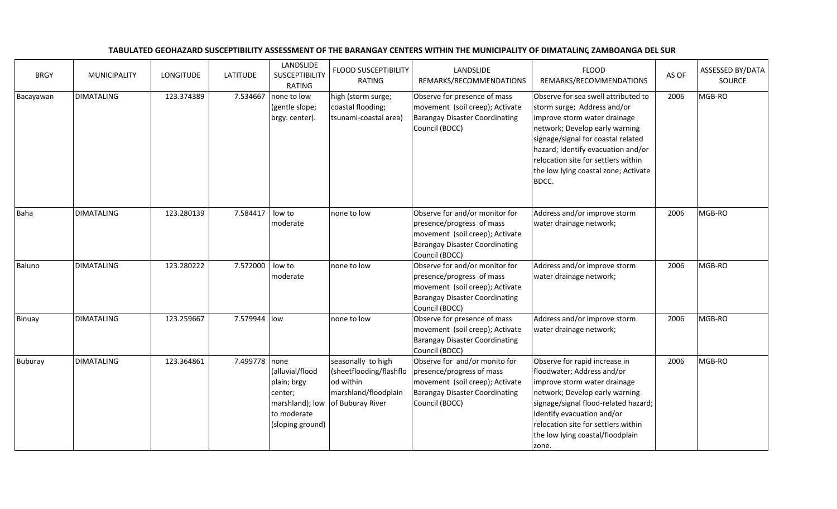## TABULATED GEOHAZARD SUSCEPTIBILITY ASSESSMENT OF THE BARANGAY CENTERS WITHIN THE MUNICIPALITY OF DIMATALING, ZAMBOANGA DEL SUR

| <b>BRGY</b>    | <b>MUNICIPALITY</b> | <b>LONGITUDE</b> | <b>LATITUDE</b> | LANDSLIDE<br><b>SUSCEPTIBILITY</b><br><b>RATING</b>                                             | <b>FLOOD SUSCEPTIBILITY</b><br>RATING                                                                  | LANDSLIDE<br>REMARKS/RECOMMENDATIONS                                                                                                                      | <b>FLOOD</b><br>REMARKS/RECOMMENDATIONS                                                                                                                                                                                                                                                                  | AS OF | ASSESSED BY/DATA<br>SOURCE |
|----------------|---------------------|------------------|-----------------|-------------------------------------------------------------------------------------------------|--------------------------------------------------------------------------------------------------------|-----------------------------------------------------------------------------------------------------------------------------------------------------------|----------------------------------------------------------------------------------------------------------------------------------------------------------------------------------------------------------------------------------------------------------------------------------------------------------|-------|----------------------------|
| Bacayawan      | <b>DIMATALING</b>   | 123.374389       | 7.534667        | none to low<br>(gentle slope;<br>brgy. center).                                                 | high (storm surge;<br>coastal flooding;<br>tsunami-coastal area)                                       | Observe for presence of mass<br>movement (soil creep); Activate<br><b>Barangay Disaster Coordinating</b><br>Council (BDCC)                                | Observe for sea swell attributed to<br>storm surge; Address and/or<br>improve storm water drainage<br>network; Develop early warning<br>signage/signal for coastal related<br>hazard; Identify evacuation and/or<br>relocation site for settlers within<br>the low lying coastal zone; Activate<br>BDCC. | 2006  | MGB-RO                     |
| Baha           | <b>DIMATALING</b>   | 123.280139       | 7.584417        | low to<br>moderate                                                                              | none to low                                                                                            | Observe for and/or monitor for<br>presence/progress of mass<br>movement (soil creep); Activate<br><b>Barangay Disaster Coordinating</b><br>Council (BDCC) | Address and/or improve storm<br>water drainage network;                                                                                                                                                                                                                                                  | 2006  | MGB-RO                     |
| Baluno         | <b>DIMATALING</b>   | 123.280222       | 7.572000        | low to<br>moderate                                                                              | none to low                                                                                            | Observe for and/or monitor for<br>presence/progress of mass<br>movement (soil creep); Activate<br><b>Barangay Disaster Coordinating</b><br>Council (BDCC) | Address and/or improve storm<br>water drainage network;                                                                                                                                                                                                                                                  | 2006  | MGB-RO                     |
| Binuay         | <b>DIMATALING</b>   | 123.259667       | 7.579944 low    |                                                                                                 | none to low                                                                                            | Observe for presence of mass<br>movement (soil creep); Activate<br><b>Barangay Disaster Coordinating</b><br>Council (BDCC)                                | Address and/or improve storm<br>water drainage network;                                                                                                                                                                                                                                                  | 2006  | MGB-RO                     |
| <b>Buburay</b> | <b>DIMATALING</b>   | 123.364861       | 7.499778 none   | (alluvial/flood<br>plain; brgy<br>center;<br>marshland); low<br>to moderate<br>(sloping ground) | seasonally to high<br>(sheetflooding/flashflo<br>od within<br>marshland/floodplain<br>of Buburay River | Observe for and/or monito for<br>presence/progress of mass<br>movement (soil creep); Activate<br><b>Barangay Disaster Coordinating</b><br>Council (BDCC)  | Observe for rapid increase in<br>floodwater; Address and/or<br>improve storm water drainage<br>network; Develop early warning<br>signage/signal flood-related hazard;<br>Identify evacuation and/or<br>relocation site for settlers within<br>the low lying coastal/floodplain<br>zone.                  | 2006  | MGB-RO                     |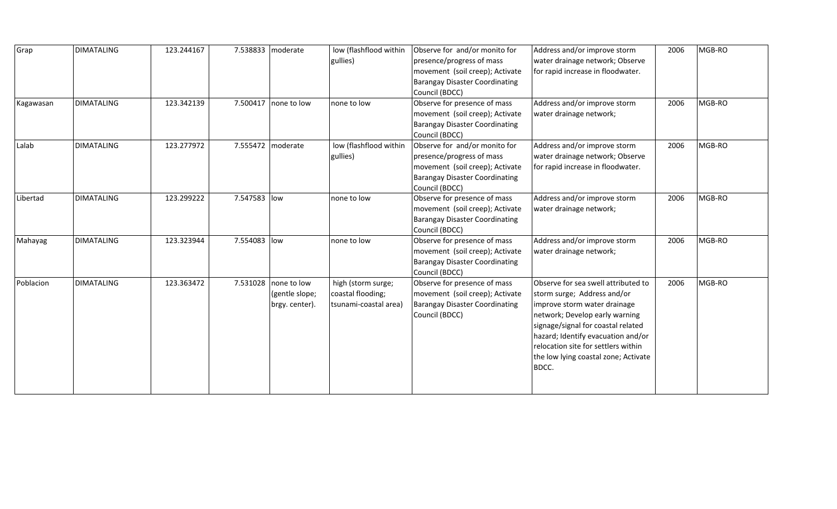| Grap      | <b>DIMATALING</b> | 123.244167 | 7.538833   moderate |                | low (flashflood within | Observe for and/or monito for         | Address and/or improve storm         | 2006 | MGB-RO |
|-----------|-------------------|------------|---------------------|----------------|------------------------|---------------------------------------|--------------------------------------|------|--------|
|           |                   |            |                     |                | gullies)               | presence/progress of mass             | water drainage network; Observe      |      |        |
|           |                   |            |                     |                |                        | movement (soil creep); Activate       | for rapid increase in floodwater.    |      |        |
|           |                   |            |                     |                |                        | <b>Barangay Disaster Coordinating</b> |                                      |      |        |
|           |                   |            |                     |                |                        | Council (BDCC)                        |                                      |      |        |
| Kagawasan | <b>DIMATALING</b> | 123.342139 | 7.500417            | Inone to low   | none to low            | Observe for presence of mass          | Address and/or improve storm         | 2006 | MGB-RO |
|           |                   |            |                     |                |                        | movement (soil creep); Activate       | water drainage network;              |      |        |
|           |                   |            |                     |                |                        | <b>Barangay Disaster Coordinating</b> |                                      |      |        |
|           |                   |            |                     |                |                        | Council (BDCC)                        |                                      |      |        |
| Lalab     | <b>DIMATALING</b> | 123.277972 | 7.555472   moderate |                | low (flashflood within | Observe for and/or monito for         | Address and/or improve storm         | 2006 | MGB-RO |
|           |                   |            |                     |                | gullies)               | presence/progress of mass             | water drainage network; Observe      |      |        |
|           |                   |            |                     |                |                        | movement (soil creep); Activate       | for rapid increase in floodwater.    |      |        |
|           |                   |            |                     |                |                        | Barangay Disaster Coordinating        |                                      |      |        |
|           |                   |            |                     |                |                        | Council (BDCC)                        |                                      |      |        |
| Libertad  | <b>DIMATALING</b> | 123.299222 | 7.547583 low        |                | none to low            | Observe for presence of mass          | Address and/or improve storm         | 2006 | MGB-RO |
|           |                   |            |                     |                |                        | movement (soil creep); Activate       | water drainage network;              |      |        |
|           |                   |            |                     |                |                        | <b>Barangay Disaster Coordinating</b> |                                      |      |        |
|           |                   |            |                     |                |                        | Council (BDCC)                        |                                      |      |        |
| Mahayag   | <b>DIMATALING</b> | 123.323944 | 7.554083 low        |                | none to low            | Observe for presence of mass          | Address and/or improve storm         | 2006 | MGB-RO |
|           |                   |            |                     |                |                        | movement (soil creep); Activate       | water drainage network;              |      |        |
|           |                   |            |                     |                |                        | <b>Barangay Disaster Coordinating</b> |                                      |      |        |
|           |                   |            |                     |                |                        | Council (BDCC)                        |                                      |      |        |
| Poblacion | <b>DIMATALING</b> | 123.363472 | 7.531028            | none to low    | high (storm surge;     | Observe for presence of mass          | Observe for sea swell attributed to  | 2006 | MGB-RO |
|           |                   |            |                     | (gentle slope; | coastal flooding;      | movement (soil creep); Activate       | storm surge; Address and/or          |      |        |
|           |                   |            |                     | brgy. center). | tsunami-coastal area)  | <b>Barangay Disaster Coordinating</b> | improve storm water drainage         |      |        |
|           |                   |            |                     |                |                        | Council (BDCC)                        | network; Develop early warning       |      |        |
|           |                   |            |                     |                |                        |                                       | signage/signal for coastal related   |      |        |
|           |                   |            |                     |                |                        |                                       | hazard; Identify evacuation and/or   |      |        |
|           |                   |            |                     |                |                        |                                       | relocation site for settlers within  |      |        |
|           |                   |            |                     |                |                        |                                       | the low lying coastal zone; Activate |      |        |
|           |                   |            |                     |                |                        |                                       | BDCC.                                |      |        |
|           |                   |            |                     |                |                        |                                       |                                      |      |        |
|           |                   |            |                     |                |                        |                                       |                                      |      |        |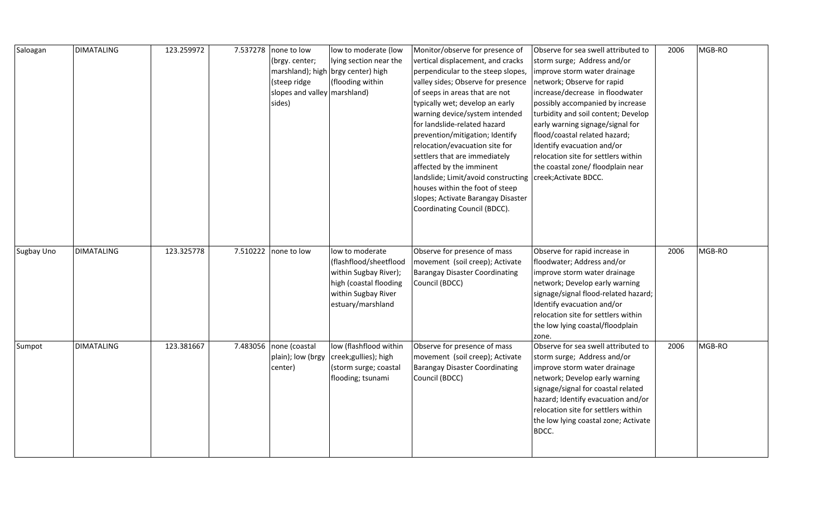| Saloagan   | <b>DIMATALING</b> | 123.259972 | 7.537278   none to low<br>(brgy. center; | low to moderate (low<br>lying section near the | Monitor/observe for presence of<br>vertical displacement, and cracks | Observe for sea swell attributed to<br>storm surge; Address and/or | 2006 | MGB-RO |
|------------|-------------------|------------|------------------------------------------|------------------------------------------------|----------------------------------------------------------------------|--------------------------------------------------------------------|------|--------|
|            |                   |            |                                          | marshland); high brgy center) high             | perpendicular to the steep slopes,                                   | improve storm water drainage                                       |      |        |
|            |                   |            | (steep ridge                             | (flooding within                               | valley sides; Observe for presence                                   | network; Observe for rapid                                         |      |        |
|            |                   |            | slopes and valley marshland)             |                                                | of seeps in areas that are not                                       | increase/decrease in floodwater                                    |      |        |
|            |                   |            | sides)                                   |                                                | typically wet; develop an early                                      | possibly accompanied by increase                                   |      |        |
|            |                   |            |                                          |                                                | warning device/system intended                                       | turbidity and soil content; Develop                                |      |        |
|            |                   |            |                                          |                                                | for landslide-related hazard                                         | early warning signage/signal for                                   |      |        |
|            |                   |            |                                          |                                                | prevention/mitigation; Identify                                      | flood/coastal related hazard;                                      |      |        |
|            |                   |            |                                          |                                                | relocation/evacuation site for                                       | Identify evacuation and/or                                         |      |        |
|            |                   |            |                                          |                                                | settlers that are immediately                                        | relocation site for settlers within                                |      |        |
|            |                   |            |                                          |                                                | affected by the imminent                                             | the coastal zone/ floodplain near                                  |      |        |
|            |                   |            |                                          |                                                | landslide; Limit/avoid constructing                                  | creek; Activate BDCC.                                              |      |        |
|            |                   |            |                                          |                                                | houses within the foot of steep                                      |                                                                    |      |        |
|            |                   |            |                                          |                                                | slopes; Activate Barangay Disaster                                   |                                                                    |      |        |
|            |                   |            |                                          |                                                | Coordinating Council (BDCC).                                         |                                                                    |      |        |
|            |                   |            |                                          |                                                |                                                                      |                                                                    |      |        |
|            |                   |            |                                          |                                                |                                                                      |                                                                    |      |        |
|            |                   |            |                                          |                                                |                                                                      |                                                                    |      |        |
| Sugbay Uno | <b>DIMATALING</b> | 123.325778 | 7.510222 none to low                     | low to moderate                                | Observe for presence of mass                                         | Observe for rapid increase in                                      | 2006 | MGB-RO |
|            |                   |            |                                          | (flashflood/sheetflood                         | movement (soil creep); Activate                                      | floodwater; Address and/or                                         |      |        |
|            |                   |            |                                          | within Sugbay River);                          | <b>Barangay Disaster Coordinating</b>                                | improve storm water drainage                                       |      |        |
|            |                   |            |                                          | high (coastal flooding                         | Council (BDCC)                                                       | network; Develop early warning                                     |      |        |
|            |                   |            |                                          | within Sugbay River                            |                                                                      | signage/signal flood-related hazard;                               |      |        |
|            |                   |            |                                          | estuary/marshland                              |                                                                      | Identify evacuation and/or                                         |      |        |
|            |                   |            |                                          |                                                |                                                                      | relocation site for settlers within                                |      |        |
|            |                   |            |                                          |                                                |                                                                      | the low lying coastal/floodplain                                   |      |        |
|            |                   |            |                                          |                                                |                                                                      | zone.                                                              |      |        |
| Sumpot     | <b>DIMATALING</b> | 123.381667 | 7.483056 none (coastal                   | low (flashflood within                         | Observe for presence of mass                                         | Observe for sea swell attributed to                                | 2006 | MGB-RO |
|            |                   |            | plain); low (brgy                        | creek; gullies); high                          | movement (soil creep); Activate                                      | storm surge; Address and/or                                        |      |        |
|            |                   |            | center)                                  | (storm surge; coastal                          | <b>Barangay Disaster Coordinating</b>                                | improve storm water drainage                                       |      |        |
|            |                   |            |                                          | flooding; tsunami                              | Council (BDCC)                                                       | network; Develop early warning                                     |      |        |
|            |                   |            |                                          |                                                |                                                                      | signage/signal for coastal related                                 |      |        |
|            |                   |            |                                          |                                                |                                                                      | hazard; Identify evacuation and/or                                 |      |        |
|            |                   |            |                                          |                                                |                                                                      | relocation site for settlers within                                |      |        |
|            |                   |            |                                          |                                                |                                                                      | the low lying coastal zone; Activate                               |      |        |
|            |                   |            |                                          |                                                |                                                                      | BDCC.                                                              |      |        |
|            |                   |            |                                          |                                                |                                                                      |                                                                    |      |        |
|            |                   |            |                                          |                                                |                                                                      |                                                                    |      |        |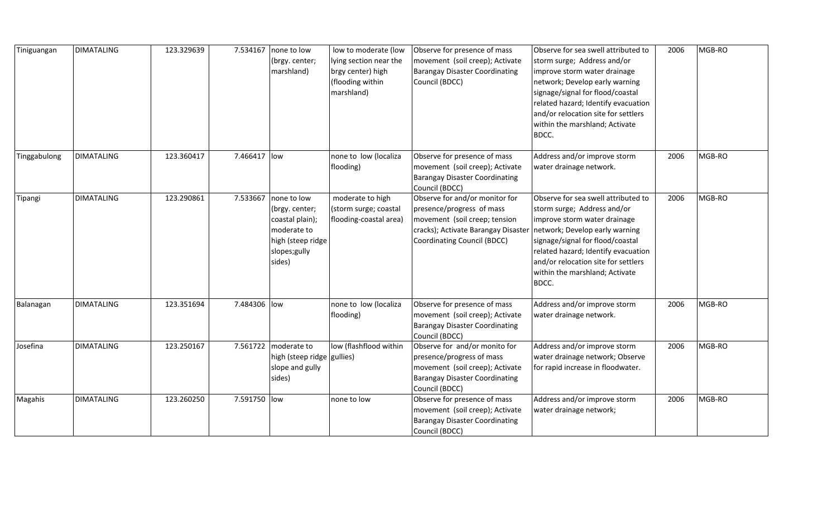| Tiniguangan  | <b>DIMATALING</b> | 123.329639 | 7.534167     | none to low<br>(brgy. center;<br>marshland)                                                                     | low to moderate (low<br>lying section near the<br>brgy center) high<br>(flooding within<br>marshland) | Observe for presence of mass<br>movement (soil creep); Activate<br><b>Barangay Disaster Coordinating</b><br>Council (BDCC)                                         | Observe for sea swell attributed to<br>storm surge; Address and/or<br>improve storm water drainage<br>network; Develop early warning<br>signage/signal for flood/coastal<br>related hazard; Identify evacuation<br>and/or relocation site for settlers<br>within the marshland; Activate<br>BDCC. | 2006 | MGB-RO |
|--------------|-------------------|------------|--------------|-----------------------------------------------------------------------------------------------------------------|-------------------------------------------------------------------------------------------------------|--------------------------------------------------------------------------------------------------------------------------------------------------------------------|---------------------------------------------------------------------------------------------------------------------------------------------------------------------------------------------------------------------------------------------------------------------------------------------------|------|--------|
| Tinggabulong | <b>DIMATALING</b> | 123.360417 | 7.466417 low |                                                                                                                 | none to low (localiza<br>flooding)                                                                    | Observe for presence of mass<br>movement (soil creep); Activate<br><b>Barangay Disaster Coordinating</b><br>Council (BDCC)                                         | Address and/or improve storm<br>water drainage network.                                                                                                                                                                                                                                           | 2006 | MGB-RO |
| Tipangi      | <b>DIMATALING</b> | 123.290861 | 7.533667     | none to low<br>(brgy. center;<br>coastal plain);<br>moderate to<br>high (steep ridge<br>slopes; gully<br>sides) | moderate to high<br>(storm surge; coastal<br>flooding-coastal area)                                   | Observe for and/or monitor for<br>presence/progress of mass<br>movement (soil creep; tension<br>cracks); Activate Barangay Disaster<br>Coordinating Council (BDCC) | Observe for sea swell attributed to<br>storm surge; Address and/or<br>improve storm water drainage<br>network; Develop early warning<br>signage/signal for flood/coastal<br>related hazard; Identify evacuation<br>and/or relocation site for settlers<br>within the marshland; Activate<br>BDCC. | 2006 | MGB-RO |
| Balanagan    | <b>DIMATALING</b> | 123.351694 | 7.484306 low |                                                                                                                 | none to low (localiza<br>flooding)                                                                    | Observe for presence of mass<br>movement (soil creep); Activate<br><b>Barangay Disaster Coordinating</b><br>Council (BDCC)                                         | Address and/or improve storm<br>water drainage network.                                                                                                                                                                                                                                           | 2006 | MGB-RO |
| Josefina     | <b>DIMATALING</b> | 123.250167 | 7.561722     | moderate to<br>high (steep ridge gullies)<br>slope and gully<br>sides)                                          | low (flashflood within                                                                                | Observe for and/or monito for<br>presence/progress of mass<br>movement (soil creep); Activate<br><b>Barangay Disaster Coordinating</b><br>Council (BDCC)           | Address and/or improve storm<br>water drainage network; Observe<br>for rapid increase in floodwater.                                                                                                                                                                                              | 2006 | MGB-RO |
| Magahis      | <b>DIMATALING</b> | 123.260250 | 7.591750 low |                                                                                                                 | none to low                                                                                           | Observe for presence of mass<br>movement (soil creep); Activate<br><b>Barangay Disaster Coordinating</b><br>Council (BDCC)                                         | Address and/or improve storm<br>water drainage network;                                                                                                                                                                                                                                           | 2006 | MGB-RO |